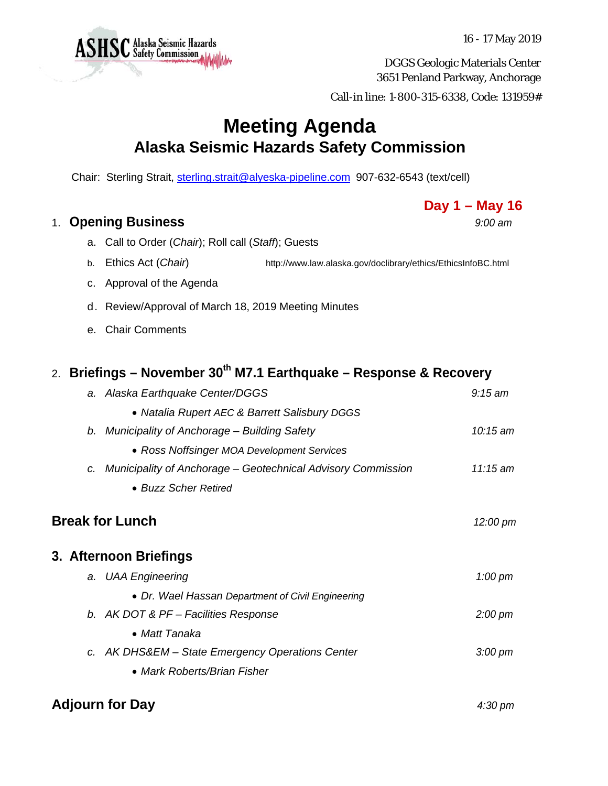DGGS Geologic Materials Center 3651 Penland Parkway, Anchorage

Call-in line: 1-800-315-6338, Code: 131959#

## **Meeting Agenda Alaska Seismic Hazards Safety Commission**

Chair: Sterling Strait, sterling.strait@alyeska-pipeline.com 907-632-6543 (text/cell)

## 1. **Opening Business** *9:00 am*

- a. Call to Order (*Chair*); Roll call (*Staff*); Guests
- b. Ethics Act (*Chair*) http://www.law.alaska.gov/doclibrary/ethics/EthicsInfoBC.html
- c. Approval of the Agenda
- d. Review/Approval of March 18, 2019 Meeting Minutes
- e. Chair Comments

## 2. **Briefings – November 30th M7.1 Earthquake – Response & Recovery**

|                        | a. Alaska Earthquake Center/DGGS                                    | $9:15$ am         |
|------------------------|---------------------------------------------------------------------|-------------------|
|                        | • Natalia Rupert AEC & Barrett Salisbury DGGS                       |                   |
|                        | b. Municipality of Anchorage – Building Safety                      | $10:15$ am        |
|                        | • Ross Noffsinger MOA Development Services                          |                   |
| C.                     | <b>Municipality of Anchorage – Geotechnical Advisory Commission</b> | $11:15$ am        |
|                        | • Buzz Scher Retired                                                |                   |
|                        | <b>Break for Lunch</b>                                              | 12:00 pm          |
|                        | 3. Afternoon Briefings                                              |                   |
|                        | a. UAA Engineering                                                  | $1:00 \text{ pm}$ |
|                        | • Dr. Wael Hassan Department of Civil Engineering                   |                   |
|                        | b. AK DOT & PF - Facilities Response                                | $2:00 \text{ pm}$ |
|                        | • Matt Tanaka                                                       |                   |
|                        | c. AK DHS&EM - State Emergency Operations Center                    | $3:00 \text{ pm}$ |
|                        | • Mark Roberts/Brian Fisher                                         |                   |
| <b>Adjourn for Day</b> | $4:30 \text{ pm}$                                                   |                   |



16 - 17 May 2019

**Day 1 – May 16**